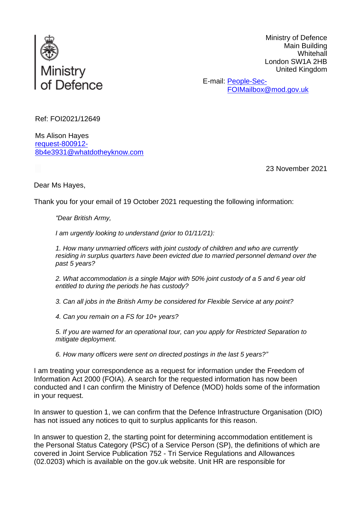

Ministry of Defence Main Building **Whitehall** London SW1A 2HB United Kingdom

E-mail: [People-Sec-](mailto:xxxxxxxxxxxxxxxxxxxxx@xxx.xxx.xx)[FOIMailbox@mod.gov.uk](mailto:xxxxxxxxxxxxxxxxxxxxx@xxx.xxx.xx)

Ref: FOI2021/12649

Ms Alison Hayes [request-800912-](mailto:xxxxxxxxxxxxxxxxxxxxxxx@xxxxxxxxxxxxxx.xxx) [8b4e3931@whatdotheyknow.com](mailto:xxxxxxxxxxxxxxxxxxxxxxx@xxxxxxxxxxxxxx.xxx)

23 November 2021

Dear Ms Hayes,

Thank you for your email of 19 October 2021 requesting the following information:

*"Dear British Army,*

*I am urgently looking to understand (prior to 01/11/21):*

*1. How many unmarried officers with joint custody of children and who are currently residing in surplus quarters have been evicted due to married personnel demand over the past 5 years?*

*2. What accommodation is a single Major with 50% joint custody of a 5 and 6 year old entitled to during the periods he has custody?*

*3. Can all jobs in the British Army be considered for Flexible Service at any point?*

*4. Can you remain on a FS for 10+ years?*

*5. If you are warned for an operational tour, can you apply for Restricted Separation to mitigate deployment.*

*6. How many officers were sent on directed postings in the last 5 years?"*

I am treating your correspondence as a request for information under the Freedom of Information Act 2000 (FOIA). A search for the requested information has now been conducted and I can confirm the Ministry of Defence (MOD) holds some of the information in your request.

In answer to question 1, we can confirm that the Defence Infrastructure Organisation (DIO) has not issued any notices to quit to surplus applicants for this reason.

In answer to question 2, the starting point for determining accommodation entitlement is the Personal Status Category (PSC) of a Service Person (SP), the definitions of which are covered in Joint Service Publication 752 - Tri Service Regulations and Allowances (02.0203) which is available on the gov.uk website. Unit HR are responsible for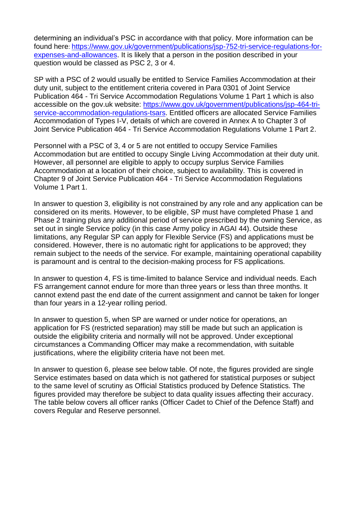determining an individual's PSC in accordance with that policy. More information can be found here: [https://www.gov.uk/government/publications/jsp-752-tri-service-regulations-for](https://www.gov.uk/government/publications/jsp-752-tri-service-regulations-for-expenses-and-allowances)[expenses-and-allowances.](https://www.gov.uk/government/publications/jsp-752-tri-service-regulations-for-expenses-and-allowances) It is likely that a person in the position described in your question would be classed as PSC 2, 3 or 4.

SP with a PSC of 2 would usually be entitled to Service Families Accommodation at their duty unit, subject to the entitlement criteria covered in Para 0301 of Joint Service Publication 464 - Tri Service Accommodation Regulations Volume 1 Part 1 which is also accessible on the gov.uk website: [https://www.gov.uk/government/publications/jsp-464-tri](https://www.gov.uk/government/publications/jsp-464-tri-service-accommodation-regulations-tsars)[service-accommodation-regulations-tsars.](https://www.gov.uk/government/publications/jsp-464-tri-service-accommodation-regulations-tsars) Entitled officers are allocated Service Families Accommodation of Types I-V, details of which are covered in Annex A to Chapter 3 of Joint Service Publication 464 - Tri Service Accommodation Regulations Volume 1 Part 2.

Personnel with a PSC of 3, 4 or 5 are not entitled to occupy Service Families Accommodation but are entitled to occupy Single Living Accommodation at their duty unit. However, all personnel are eligible to apply to occupy surplus Service Families Accommodation at a location of their choice, subject to availability. This is covered in Chapter 9 of Joint Service Publication 464 - Tri Service Accommodation Regulations Volume 1 Part 1.

In answer to question 3, eligibility is not constrained by any role and any application can be considered on its merits. However, to be eligible, SP must have completed Phase 1 and Phase 2 training plus any additional period of service prescribed by the owning Service, as set out in single Service policy (in this case Army policy in AGAI 44). Outside these limitations, any Regular SP can apply for Flexible Service (FS) and applications must be considered. However, there is no automatic right for applications to be approved; they remain subject to the needs of the service. For example, maintaining operational capability is paramount and is central to the decision-making process for FS applications.

In answer to question 4, FS is time-limited to balance Service and individual needs. Each FS arrangement cannot endure for more than three years or less than three months. It cannot extend past the end date of the current assignment and cannot be taken for longer than four years in a 12-year rolling period.

In answer to question 5, when SP are warned or under notice for operations, an application for FS (restricted separation) may still be made but such an application is outside the eligibility criteria and normally will not be approved. Under exceptional circumstances a Commanding Officer may make a recommendation, with suitable justifications, where the eligibility criteria have not been met.

In answer to question 6, please see below table. Of note, the figures provided are single Service estimates based on data which is not gathered for statistical purposes or subject to the same level of scrutiny as Official Statistics produced by Defence Statistics. The figures provided may therefore be subject to data quality issues affecting their accuracy. The table below covers all officer ranks (Officer Cadet to Chief of the Defence Staff) and covers Regular and Reserve personnel.